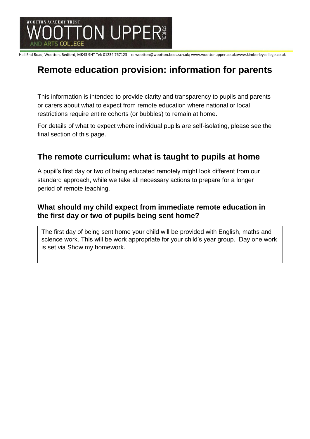

Hall End Road, Wootton, Bedford, MK43 9HT Tel: 01234 767123 e: wootton@wootton.beds.sch.uk; www.woottonupper.co.uk;www.kimberleycollege.co.uk

# **Remote education provision: information for parents**

This information is intended to provide clarity and transparency to pupils and parents or carers about what to expect from remote education where national or local restrictions require entire cohorts (or bubbles) to remain at home.

For details of what to expect where individual pupils are self-isolating, please see the final section of this page.

### **The remote curriculum: what is taught to pupils at home**

A pupil's first day or two of being educated remotely might look different from our standard approach, while we take all necessary actions to prepare for a longer period of remote teaching.

#### **What should my child expect from immediate remote education in the first day or two of pupils being sent home?**

The first day of being sent home your child will be provided with English, maths and science work. This will be work appropriate for your child's year group. Day one work is set via Show my homework.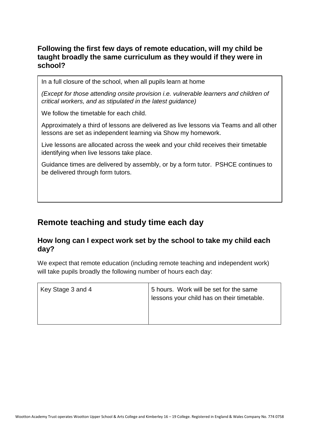#### **Following the first few days of remote education, will my child be taught broadly the same curriculum as they would if they were in school?**

In a full closure of the school, when all pupils learn at home

*(Except for those attending onsite provision i.e. vulnerable learners and children of critical workers, and as stipulated in the latest guidance)*

We follow the timetable for each child.

Approximately a third of lessons are delivered as live lessons via Teams and all other lessons are set as independent learning via Show my homework.

Live lessons are allocated across the week and your child receives their timetable identifying when live lessons take place.

Guidance times are delivered by assembly, or by a form tutor. PSHCE continues to be delivered through form tutors.

# **Remote teaching and study time each day**

#### **How long can I expect work set by the school to take my child each day?**

We expect that remote education (including remote teaching and independent work) will take pupils broadly the following number of hours each day:

| Key Stage 3 and 4 | 5 hours. Work will be set for the same<br>lessons your child has on their timetable. |
|-------------------|--------------------------------------------------------------------------------------|
|-------------------|--------------------------------------------------------------------------------------|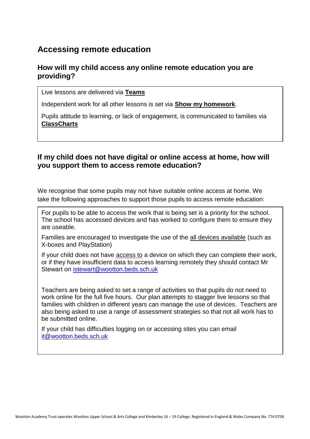### **Accessing remote education**

#### **How will my child access any online remote education you are providing?**

Live lessons are delivered via **Teams**

Independent work for all other lessons is set via **Show my homework**.

Pupils attitude to learning, or lack of engagement, is communicated to families via **ClassCharts**

#### **If my child does not have digital or online access at home, how will you support them to access remote education?**

We recognise that some pupils may not have suitable online access at home. We take the following approaches to support those pupils to access remote education:

For pupils to be able to access the work that is being set is a priority for the school. The school has accessed devices and has worked to configure them to ensure they are useable.

Families are encouraged to investigate the use of the all devices available (such as X-boxes and PlayStation)

If your child does not have access to a device on which they can complete their work, or if they have insufficient data to access learning remotely they should contact Mr Stewart on [istewart@wootton.beds.sch.uk](mailto:istewart@wootton.beds.sch.uk)

Teachers are being asked to set a range of activities so that pupils do not need to work online for the full five hours. Our plan attempts to stagger live lessons so that families with children in different years can manage the use of devices. Teachers are also being asked to use a range of assessment strategies so that not all work has to be submitted online.

If your child has difficulties logging on or accessing sites you can email [it@wootton.beds.sch.uk](mailto:it@wootton.beds.sch.uk)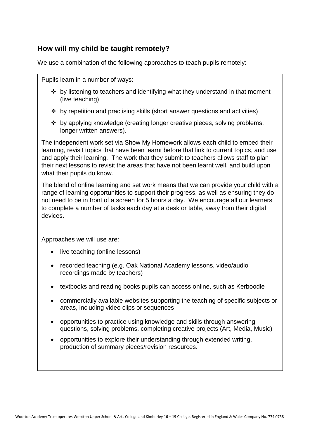#### **How will my child be taught remotely?**

We use a combination of the following approaches to teach pupils remotely:

Pupils learn in a number of ways:

- ❖ by listening to teachers and identifying what they understand in that moment (live teaching)
- ❖ by repetition and practising skills (short answer questions and activities)
- ❖ by applying knowledge (creating longer creative pieces, solving problems, longer written answers).

The independent work set via Show My Homework allows each child to embed their learning, revisit topics that have been learnt before that link to current topics, and use and apply their learning. The work that they submit to teachers allows staff to plan their next lessons to revisit the areas that have not been learnt well, and build upon what their pupils do know.

The blend of online learning and set work means that we can provide your child with a range of learning opportunities to support their progress, as well as ensuring they do not need to be in front of a screen for 5 hours a day. We encourage all our learners to complete a number of tasks each day at a desk or table, away from their digital devices.

Approaches we will use are:

- live teaching (online lessons)
- recorded teaching (e.g. Oak National Academy lessons, video/audio recordings made by teachers)
- textbooks and reading books pupils can access online, such as Kerboodle
- commercially available websites supporting the teaching of specific subjects or areas, including video clips or sequences
- opportunities to practice using knowledge and skills through answering questions, solving problems, completing creative projects (Art, Media, Music)
- opportunities to explore their understanding through extended writing, production of summary pieces/revision resources.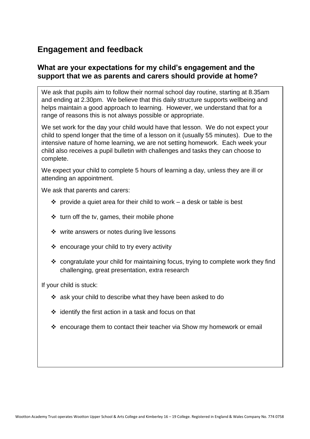# **Engagement and feedback**

#### **What are your expectations for my child's engagement and the support that we as parents and carers should provide at home?**

We ask that pupils aim to follow their normal school day routine, starting at 8.35am and ending at 2.30pm. We believe that this daily structure supports wellbeing and helps maintain a good approach to learning. However, we understand that for a range of reasons this is not always possible or appropriate.

We set work for the day your child would have that lesson. We do not expect your child to spend longer that the time of a lesson on it (usually 55 minutes). Due to the intensive nature of home learning, we are not setting homework. Each week your child also receives a pupil bulletin with challenges and tasks they can choose to complete.

We expect your child to complete 5 hours of learning a day, unless they are ill or attending an appointment.

We ask that parents and carers:

- $\cdot \cdot$  provide a quiet area for their child to work a desk or table is best
- ❖ turn off the tv, games, their mobile phone
- ❖ write answers or notes during live lessons
- ❖ encourage your child to try every activity
- ❖ congratulate your child for maintaining focus, trying to complete work they find challenging, great presentation, extra research

If your child is stuck:

- ❖ ask your child to describe what they have been asked to do
- ❖ identify the first action in a task and focus on that
- ❖ encourage them to contact their teacher via Show my homework or email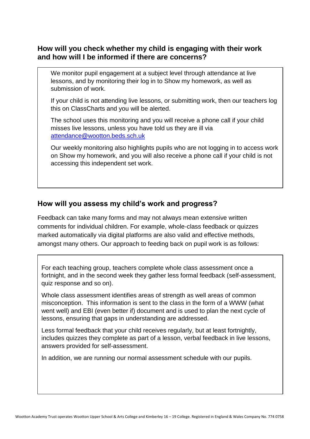#### **How will you check whether my child is engaging with their work and how will I be informed if there are concerns?**

We monitor pupil engagement at a subject level through attendance at live lessons, and by monitoring their log in to Show my homework, as well as submission of work.

If your child is not attending live lessons, or submitting work, then our teachers log this on ClassCharts and you will be alerted.

The school uses this monitoring and you will receive a phone call if your child misses live lessons, unless you have told us they are ill via [attendance@wootton.beds.sch.uk](mailto:attendance@wootton.beds.sch.uk)

Our weekly monitoring also highlights pupils who are not logging in to access work on Show my homework, and you will also receive a phone call if your child is not accessing this independent set work.

#### **How will you assess my child's work and progress?**

Feedback can take many forms and may not always mean extensive written comments for individual children. For example, whole-class feedback or quizzes marked automatically via digital platforms are also valid and effective methods, amongst many others. Our approach to feeding back on pupil work is as follows:

For each teaching group, teachers complete whole class assessment once a fortnight, and in the second week they gather less formal feedback (self-assessment, quiz response and so on).

Whole class assessment identifies areas of strength as well areas of common misconception. This information is sent to the class in the form of a WWW (what went well) and EBI (even better if) document and is used to plan the next cycle of lessons, ensuring that gaps in understanding are addressed.

Less formal feedback that your child receives regularly, but at least fortnightly, includes quizzes they complete as part of a lesson, verbal feedback in live lessons, answers provided for self-assessment.

In addition, we are running our normal assessment schedule with our pupils.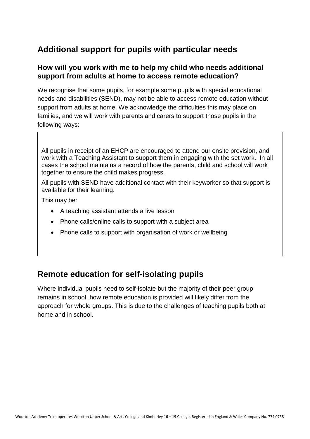# **Additional support for pupils with particular needs**

#### **How will you work with me to help my child who needs additional support from adults at home to access remote education?**

We recognise that some pupils, for example some pupils with special educational needs and disabilities (SEND), may not be able to access remote education without support from adults at home. We acknowledge the difficulties this may place on families, and we will work with parents and carers to support those pupils in the following ways:

All pupils in receipt of an EHCP are encouraged to attend our onsite provision, and work with a Teaching Assistant to support them in engaging with the set work. In all cases the school maintains a record of how the parents, child and school will work together to ensure the child makes progress.

All pupils with SEND have additional contact with their keyworker so that support is available for their learning.

This may be:

- A teaching assistant attends a live lesson
- Phone calls/online calls to support with a subject area
- Phone calls to support with organisation of work or wellbeing

### **Remote education for self-isolating pupils**

Where individual pupils need to self-isolate but the majority of their peer group remains in school, how remote education is provided will likely differ from the approach for whole groups. This is due to the challenges of teaching pupils both at home and in school.